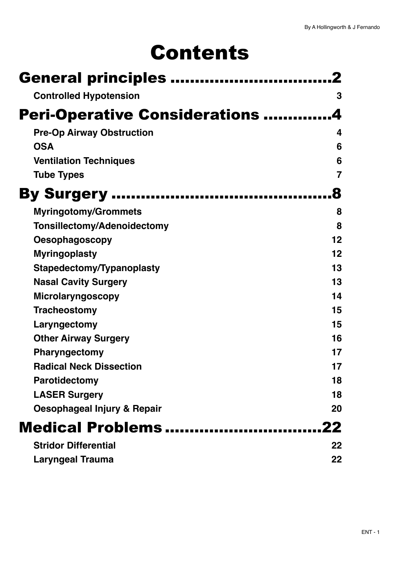# Contents

| <b>General principles </b>            |    |
|---------------------------------------|----|
| <b>Controlled Hypotension</b>         | 3  |
| <b>Peri-Operative Considerations </b> |    |
| <b>Pre-Op Airway Obstruction</b>      | 4  |
| <b>OSA</b>                            | 6  |
| <b>Ventilation Techniques</b>         | 6  |
| <b>Tube Types</b>                     | 7  |
| <b>By Surgery </b>                    |    |
| <b>Myringotomy/Grommets</b>           | 8  |
| <b>Tonsillectomy/Adenoidectomy</b>    | 8  |
| <b>Oesophagoscopy</b>                 | 12 |
| <b>Myringoplasty</b>                  | 12 |
| Stapedectomy/Typanoplasty             | 13 |
| <b>Nasal Cavity Surgery</b>           | 13 |
| Microlaryngoscopy                     | 14 |
| <b>Tracheostomy</b>                   | 15 |
| Laryngectomy                          | 15 |
| <b>Other Airway Surgery</b>           | 16 |
| <b>Pharyngectomy</b>                  | 17 |
| <b>Radical Neck Dissection</b>        | 17 |
| <b>Parotidectomy</b>                  | 18 |
| <b>LASER Surgery</b>                  | 18 |
| Oesophageal Injury & Repair           | 20 |
| Medical Problems                      | 22 |
| <b>Stridor Differential</b>           | 22 |
| <b>Laryngeal Trauma</b>               | 22 |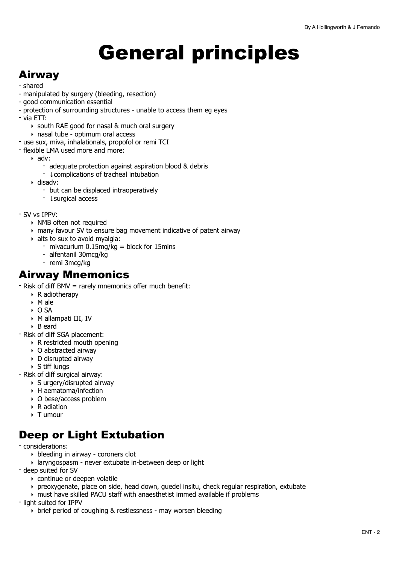# <span id="page-1-0"></span>General principles

### Airway

- shared
- manipulated by surgery (bleeding, resection)
- good communication essential
- protection of surrounding structures unable to access them eg eyes
- via ETT:
	- ‣ south RAE good for nasal & much oral surgery
	- ‣ nasal tube optimum oral access
- use sux, miva, inhalationals, propofol or remi TCI
- flexible LMA used more and more:
	- ‣ adv:
		- adequate protection against aspiration blood & debris
		- ↓complications of tracheal intubation
	- ‣ disadv:
		- but can be displaced intraoperatively
		- ↓surgical access
- SV vs IPPV:
	- ‣ NMB often not required
	- ‣ many favour SV to ensure bag movement indicative of patent airway
	- $\rightarrow$  alts to sux to avoid myalgia:
		- mivacurium 0.15mg/kg = block for 15mins
		- alfentanil 30mcg/kg
		- remi 3mcg/kg

### Airway Mnemonics

- Risk of diff BMV = rarely mnemonics offer much benefit:

- $\triangleright$  R adiotherapy
- ‣ M ale
- ‣ O SA
- ‣ M allampati III, IV
- ‣ B eard
- Risk of diff SGA placement:
	- ‣ R restricted mouth opening
	- ‣ O abstracted airway
	- ‣ D disrupted airway
	- ‣ S tiff lungs
- Risk of diff surgical airway:
	- ‣ S urgery/disrupted airway
	- ‣ H aematoma/infection
	- ‣ O bese/access problem
	- ‣ R adiation
	- ‣ T umour

### Deep or Light Extubation

- considerations:

- ‣ bleeding in airway coroners clot
- ‣ laryngospasm never extubate in-between deep or light
- deep suited for SV
	- ‣ continue or deepen volatile
	- ‣ preoxygenate, place on side, head down, guedel insitu, check regular respiration, extubate
	- ‣ must have skilled PACU staff with anaesthetist immed available if problems

- light suited for IPPV

‣ brief period of coughing & restlessness - may worsen bleeding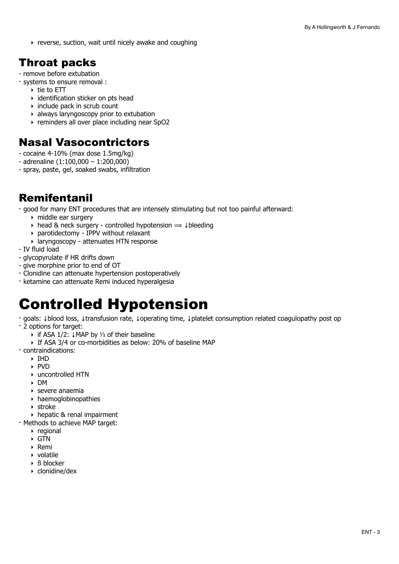‣ reverse, suction, wait until nicely awake and coughing

### Throat packs

- remove before extubation
- systems to ensure removal :
	- ‣ tie to ETT
	- ‣ identification sticker on pts head
	- ‣ include pack in scrub count
	- ‣ always laryngoscopy prior to extubation
	- ‣ reminders all over place including near SpO2

### Nasal Vasocontrictors

- cocaine 4-10% (max dose 1.5mg/kg)
- adrenaline (1:100,000 1:200,000)
- spray, paste, gel, soaked swabs, infiltration

### Remifentanil

- good for many ENT procedures that are intensely stimulating but not too painful afterward:

- ‣ middle ear surgery
- $\rightarrow$  head & neck surgery controlled hypotension  $\Rightarrow$  ‡bleeding
- ‣ parotidectomy IPPV without relaxant
- ‣ laryngoscopy attenuates HTN response
- IV fluid load
- glycopyrulate if HR drifts down
- give morphine prior to end of OT
- Clonidine can attenuate hypertension postoperatively
- ketamine can attenuate Remi induced hyperalgesia

# <span id="page-2-0"></span>Controlled Hypotension

- goals: ↓blood loss, ↓transfusion rate, ↓operating time, ↓platelet consumption related coagulopathy post op
- 2 options for target:
	- ‣ if ASA 1/2: ↓MAP by ⅓ of their baseline
	- ‣ If ASA 3/4 or co-morbidities as below: 20% of baseline MAP
- contraindications:
	- ‣ IHD
	- ‣ PVD
	- ‣ uncontrolled HTN
	- ‣ DM
	- ‣ severe anaemia
	- ‣ haemoglobinopathies
	- ‣ stroke
	- ‣ hepatic & renal impairment
- Methods to achieve MAP target:
	- ‣ regional
	- $\triangleright$  GTN
	- ‣ Remi
	- ‣ volatile
	- ‣ ß blocker
	- ‣ clonidine/dex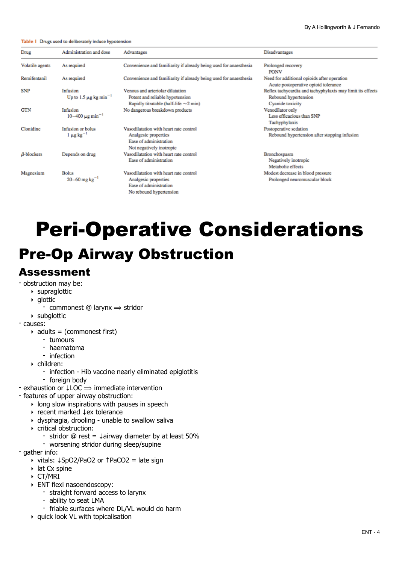#### Table 1 Drugs used to deliberately induce hypotension

| Drug            | Administration and dose                            | Advantages                                                                                                           | Disadvantages                                                                                          |
|-----------------|----------------------------------------------------|----------------------------------------------------------------------------------------------------------------------|--------------------------------------------------------------------------------------------------------|
| Volatile agents | As required                                        | Convenience and familiarity if already being used for anaesthesia                                                    | Prolonged recovery<br><b>PONV</b>                                                                      |
| Remifentanil    | As required                                        | Convenience and familiarity if already being used for anaesthesia                                                    | Need for additional opioids after operation<br>Acute postoperative opioid tolerance                    |
| SNP             | Infusion<br>Up to 1.5 $\mu$ g kg min <sup>-1</sup> | Venous and arteriolar dilatation<br>Potent and reliable hypotension<br>Rapidly titratable (half-life $\sim$ 2 min)   | Reflex tachycardia and tachyphylaxis may limit its effects<br>Rebound hypertension<br>Cyanide toxicity |
| GTN             | Infusion<br>$10-400 \mu g \text{ min}^{-1}$        | No dangerous breakdown products                                                                                      | Venodilator only<br>Less efficacious than SNP<br>Tachyphylaxis                                         |
| Clonidine       | Infusion or bolus<br>$1 \mu g kg^{-1}$             | Vasodilatation with heart rate control<br>Analgesic properties<br>Ease of administration<br>Not negatively inotropic | Postoperative sedation<br>Rebound hypertension after stopping infusion                                 |
| $B$ -blockers   | Depends on drug                                    | Vasodilatation with heart rate control<br>Ease of administration                                                     | Bronchospasm<br>Negatively inotropic<br>Metabolic effects                                              |
| Magnesium       | <b>Bolus</b><br>20-60 mg $kg^{-1}$                 | Vasodilatation with heart rate control<br>Analgesic properties<br>Ease of administration<br>No rebound hypertension  | Modest decrease in blood pressure<br>Prolonged neuromuscular block                                     |

# <span id="page-3-0"></span>Peri-Operative Considerations

### <span id="page-3-1"></span>Pre-Op Airway Obstruction

#### Assessment

- obstruction may be:
	- ‣ supraglottic
	- ‣ glottic
		- commonest  $@$  larynx  $\Rightarrow$  stridor
- ‣ subglottic
- causes:
	- $\rightarrow$  adults = (commonest first)
		- tumours
		- haematoma
		- infection
	- ‣ children:
		- infection Hib vaccine nearly eliminated epiglotitis
		- foreign body
- exhaustion or ↓LOC ⟹ immediate intervention
- features of upper airway obstruction:
	- $\rightarrow$  long slow inspirations with pauses in speech
	- ‣ recent marked ↓ex tolerance
	- ‣ dysphagia, drooling unable to swallow saliva
	- ‣ critical obstruction:
		- stridor @ rest = ↓airway diameter by at least 50%
	- worsening stridor during sleep/supine
- gather info:
	- ‣ vitals: ↓SpO2/PaO2 or ↑PaCO2 = late sign
	- ‣ lat Cx spine
	- ‣ CT/MRI
	- ‣ ENT flexi nasoendoscopy:
		- straight forward access to larynx
		- ability to seat LMA
		- friable surfaces where DL/VL would do harm
	- ‣ quick look VL with topicalisation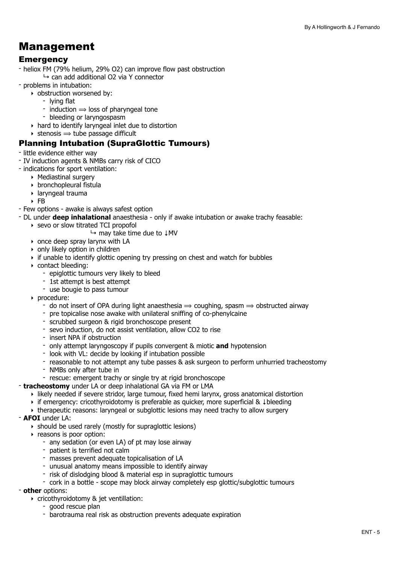### Management

#### **Emergency**

- heliox FM (79% helium, 29% O2) can improve flow past obstruction  $\rightarrow$  can add additional O2 via Y connector
- problems in intubation:
	- ‣ obstruction worsened by:
		- lying flat
		- induction  $\Rightarrow$  loss of pharyngeal tone
		- bleeding or laryngospasm
	- ‣ hard to identify laryngeal inlet due to distortion
	- $\rightarrow$  stenosis  $\rightarrow$  tube passage difficult

#### Planning Intubation (SupraGlottic Tumours)

- little evidence either way
- IV induction agents & NMBs carry risk of CICO
- indications for sport ventilation:
	- ‣ Mediastinal surgery
	- ‣ bronchopleural fistula
	- ‣ laryngeal trauma
	- ‣ FB
- Few options awake is always safest option
- DL under **deep inhalational** anaesthesia only if awake intubation or awake trachy feasable:
	- ‣ sevo or slow titrated TCI propofol
		- ↳ may take time due to ↓MV
	- ‣ once deep spray larynx with LA
	- ‣ only likely option in children
	- ‣ if unable to identify glottic opening try pressing on chest and watch for bubbles
	- ‣ contact bleeding:
		- epiglottic tumours very likely to bleed
		- 1st attempt is best attempt
		- use bougie to pass tumour
	- ‣ procedure:
		- do not insert of OPA during light anaesthesia  $\Rightarrow$  coughing, spasm  $\Rightarrow$  obstructed airway
		- pre topicalise nose awake with unilateral sniffing of co-phenylcaine
		- scrubbed surgeon & rigid bronchoscope present
		- sevo induction, do not assist ventilation, allow CO2 to rise
		- insert NPA if obstruction
		- only attempt laryngoscopy if pupils convergent & miotic **and** hypotension
		- look with VL: decide by looking if intubation possible
		- reasonable to not attempt any tube passes & ask surgeon to perform unhurried tracheostomy
		- NMBs only after tube in
		- rescue: emergent trachy or single try at rigid bronchoscope
- **tracheostomy** under LA or deep inhalational GA via FM or LMA
	- ‣ likely needed if severe stridor, large tumour, fixed hemi larynx, gross anatomical distortion
	- ‣ if emergency: cricothyroidotomy is preferable as quicker, more superficial & ↓bleeding
	- ‣ therapeutic reasons: laryngeal or subglottic lesions may need trachy to allow surgery
- **AFOI** under LA:
	- ‣ should be used rarely (mostly for supraglottic lesions)
	- ‣ reasons is poor option:
		- any sedation (or even LA) of pt may lose airway
		- patient is terrified not calm
		- masses prevent adequate topicalisation of LA
		- unusual anatomy means impossible to identify airway
		- risk of dislodging blood & material esp in supraglottic tumours
		- cork in a bottle scope may block airway completely esp glottic/subglottic tumours

#### - **other** options:

- ‣ cricothyroidotomy & jet ventillation:
	- good rescue plan
	- barotrauma real risk as obstruction prevents adequate expiration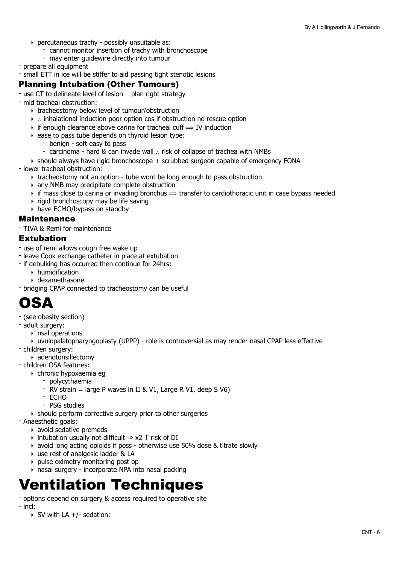- ‣ percutaneous trachy possibly unsuitable as:
	- cannot monitor insertion of trachy with bronchoscope
	- may enter guidewire directly into tumour
- prepare all equipment
- small ETT in ice will be stiffer to aid passing tight stenotic lesions

#### Planning Intubation (Other Tumours)

- use CT to delineate level of lesion ∴ plan right strategy
- mid tracheal obstruction:
	- ‣ tracheostomy below level of tumour/obstruction
	- ‣ ∴ inhalational induction poor option cos if obstruction no rescue option
	- $\rightarrow$  if enough clearance above carina for tracheal cuff  $\rightarrow$  IV induction
	- ‣ ease to pass tube depends on thyroid lesion type:
		- benign soft easy to pass
		- carcinoma hard & can invade wall ∴ risk of collapse of trachea with NMBs
	- $\rightarrow$  should always have rigid bronchoscope + scrubbed surgeon capable of emergency FONA
- lower tracheal obstruction:
	- ‣ tracheostomy not an option tube wont be long enough to pass obstruction
	- ‣ any NMB may precipitate complete obstruction
	- $\rightarrow$  if mass close to carina or invading bronchus  $\Rightarrow$  transfer to cardiothoracic unit in case bypass needed
	- ‣ rigid bronchoscopy may be life saving
	- ‣ have ECMO/bypass on standby

#### Maintenance

- TIVA & Remi for maintenance

#### Extubation

- use of remi allows cough free wake up
- leave Cook exchange catheter in place at extubation
- if debulking has occurred then continue for 24hrs:
	- ‣ humidification
	- ‣ dexamethasone
- bridging CPAP connected to tracheostomy can be useful

## <span id="page-5-0"></span>OSA

- (see obesity section)
- adult surgery:
	- ‣ nsal operations
- ‣ uvulopalatopharyngoplasty (UPPP) role is controversial as may render nasal CPAP less effective - children surgery:
	- ‣ adenotonsillectomy
- children OSA features:
	- ‣ chronic hypoxaemia eg
		- polycythaemia
		- RV strain = large P waves in II & V1, Large R V1, deep S V6)
		- ECHO
		- PSG studies
	- ‣ should perform corrective surgery prior to other surgeries
- Anaesthetic goals:
	- ‣ avoid sedative premeds
	- $\rightarrow$  intubation usually not difficult  $\Rightarrow$  x2 ↑ risk of DI
	- ‣ avoid long acting opioids if poss otherwise use 50% dose & titrate slowly
	- ‣ use rest of analgesic ladder & LA
	- ‣ pulse oximetry monitoring post op
	- ‣ nasal surgery incorporate NPA into nasal packing

## <span id="page-5-1"></span>Ventilation Techniques

- options depend on surgery & access required to operative site
- incl:
	- ‣ SV with LA +/- sedation: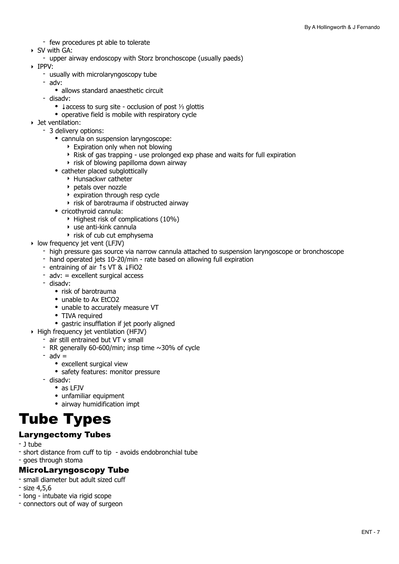- few procedures pt able to tolerate
- ‣ SV with GA:
	- upper airway endoscopy with Storz bronchoscope (usually paeds)
- ‣ IPPV:
	- usually with microlaryngoscopy tube
	- adv:
		- allows standard anaesthetic circuit
	- disadv:
		- ↓access to surg site occlusion of post ⅓ glottis
		- operative field is mobile with respiratory cycle
- ‣ Jet ventilation:
	- 3 delivery options:
		- cannula on suspension laryngoscope:
			- ‣ Expiration only when not blowing
			- ‣ Risk of gas trapping use prolonged exp phase and waits for full expiration
			- ‣ risk of blowing papilloma down airway
		- catheter placed subglottically
			- ‣ Hunsackwr catheter
			- ‣ petals over nozzle
			- $\rightarrow$  expiration through resp cycle
			- $\rightarrow$  risk of barotrauma if obstructed airway
		- cricothyroid cannula:
			- ‣ Highest risk of complications (10%)
			- $\rightarrow$  use anti-kink cannula
			- $\rightarrow$  risk of cub cut emphysema
- ‣ low frequency jet vent (LFJV)
	- high pressure gas source via narrow cannula attached to suspension laryngoscope or bronchoscope
	- hand operated jets 10-20/min rate based on allowing full expiration
	- entraining of air ↑s VT & ↓FiO2
	- $adv: = excellent suraical access$
	- disadv:
		- risk of barotrauma
		- unable to Ax EtCO<sub>2</sub>
		- unable to accurately measure VT
		- TIVA required
		- gastric insufflation if jet poorly aligned
- ‣ High frequency jet ventilation (HFJV)
	- air still entrained but VT v small
	- RR generally 60-600/min; insp time  $\sim$ 30% of cycle
	- $-$  adv  $=$ 
		- excellent surgical view
		- safety features: monitor pressure
	- disadv:
		- as LFJV
		- unfamiliar equipment
		- airway humidification impt

## <span id="page-6-0"></span>Tube Types

#### Laryngectomy Tubes

- J tube
- short distance from cuff to tip avoids endobronchial tube
- goes through stoma

#### MicroLaryngoscopy Tube

- small diameter but adult sized cuff
- size 4,5,6
- long intubate via rigid scope
- connectors out of way of surgeon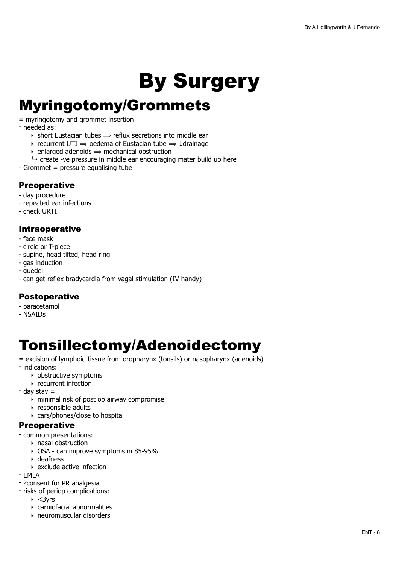# <span id="page-7-0"></span>By Surgery

## <span id="page-7-1"></span>Myringotomy/Grommets

= myringotomy and grommet insertion

- needed as:

- $\rightarrow$  short Eustacian tubes  $\Rightarrow$  reflux secretions into middle ear
- $\rightarrow$  recurrent UTI  $\rightarrow$  oedema of Eustacian tube  $\rightarrow \downarrow$ drainage
- $\rightarrow$  enlarged adenoids  $\rightarrow$  mechanical obstruction
- $\rightarrow$  create -ve pressure in middle ear encouraging mater build up here
- Grommet = pressure equalising tube

#### Preoperative

- day procedure
- repeated ear infections
- check URTI

#### Intraoperative

- face mask
- circle or T-piece
- supine, head tilted, head ring
- gas induction
- guedel
- can get reflex bradycardia from vagal stimulation (IV handy)

#### Postoperative

- paracetamol
- NSAIDs

# <span id="page-7-2"></span>Tonsillectomy/Adenoidectomy

- = excision of lymphoid tissue from oropharynx (tonsils) or nasopharynx (adenoids)
- indications:
	- ‣ obstructive symptoms
	- ‣ recurrent infection
- day stay =
	- ‣ minimal risk of post op airway compromise
	- ‣ responsible adults
	- ‣ cars/phones/close to hospital

#### **Preoperative**

- common presentations:
	- ‣ nasal obstruction
	- ‣ OSA can improve symptoms in 85-95%
	- ‣ deafness
	- ‣ exclude active infection
- EMLA
- ?consent for PR analgesia
- risks of periop complications:
	- $\rightarrow$  <3yrs
	- ‣ carniofacial abnormalities
	- ‣ neuromuscular disorders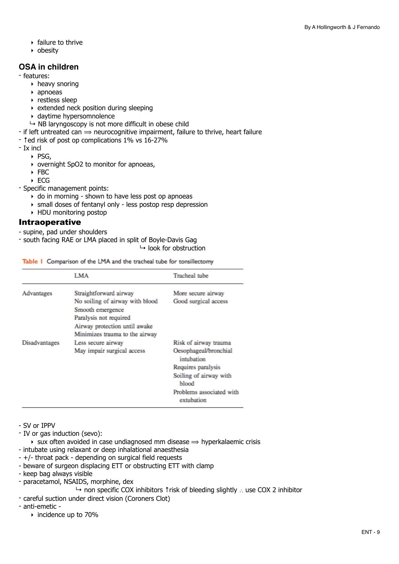- ‣ failure to thrive
- ‣ obesity

#### **OSA in children**

- features:

- ‣ heavy snoring
- ‣ apnoeas
- ‣ restless sleep
- $\rightarrow$  extended neck position during sleeping
- ‣ daytime hypersomnolence
- $\rightarrow$  NB laryngoscopy is not more difficult in obese child
- $-$  if left untreated can  $\Rightarrow$  neurocognitive impairment, failure to thrive, heart failure
- ↑ed risk of post op complications 1% vs 16-27%
- Ix incl
	- ‣ PSG,
	- ‣ overnight SpO2 to monitor for apnoeas,
	- ‣ FBC
	- ‣ ECG

- Specific management points:

- ‣ do in morning shown to have less post op apnoeas
- ‣ small doses of fentanyl only less postop resp depression
- ‣ HDU monitoring postop

#### Intraoperative

- supine, pad under shoulders

- south facing RAE or LMA placed in split of Boyle-Davis Gag

 $\mapsto$  look for obstruction

Table I Comparison of the LMA and the tracheal tube for tonsillectomy

|               | LMA                                                                                                                                              | Tracheal tube                          |
|---------------|--------------------------------------------------------------------------------------------------------------------------------------------------|----------------------------------------|
| Advantages    | Straightforward airway                                                                                                                           | More secure airway                     |
|               | No soiling of airway with blood<br>Smooth emergence<br>Paralysis not required<br>Airway protection until awake<br>Minimizes trauma to the airway | Good surgical access                   |
| Disadvantages | Less secure airway                                                                                                                               | Risk of airway trauma                  |
|               | May impair surgical access                                                                                                                       | Oesophageal/bronchial<br>intubation    |
|               |                                                                                                                                                  | Requires paralysis                     |
|               |                                                                                                                                                  | Soiling of airway with<br>blood        |
|               |                                                                                                                                                  | Problems associated with<br>extubation |

- SV or IPPV

- IV or gas induction (sevo):

 $\rightarrow$  sux often avoided in case undiagnosed mm disease  $\rightarrow$  hyperkalaemic crisis

- intubate using relaxant or deep inhalational anaesthesia
- +/- throat pack depending on surgical field requests
- beware of surgeon displacing ETT or obstructing ETT with clamp
- keep bag always visible
- paracetamol, NSAIDS, morphine, dex

↳ non specific COX inhibitors ↑risk of bleeding slightly ∴ use COX 2 inhibitor

- careful suction under direct vision (Coroners Clot)
- anti-emetic
	- ‣ incidence up to 70%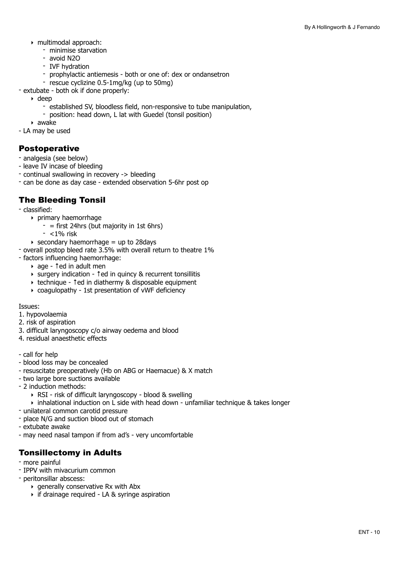- ‣ multimodal approach:
	- minimise starvation
	- avoid N2O
	- IVF hydration
	- prophylactic antiemesis both or one of: dex or ondansetron
	- rescue cyclizine 0.5-1mg/kg (up to 50mg)
- extubate both ok if done properly:
	- ‣ deep
		- established SV, bloodless field, non-responsive to tube manipulation,
		- position: head down, L lat with Guedel (tonsil position)
	- ‣ awake
- LA may be used

#### Postoperative

- analgesia (see below)
- leave IV incase of bleeding
- continual swallowing in recovery -> bleeding
- can be done as day case extended observation 5-6hr post op

#### The Bleeding Tonsil

- classified:
	- ‣ primary haemorrhage
		- $-$  = first 24hrs (but majority in 1st 6hrs)
		- <1% risk
	- $\rightarrow$  secondary haemorrhage = up to 28 days
- overall postop bleed rate 3.5% with overall return to theatre 1%
- factors influencing haemorrhage:
	- ‣ age ↑ed in adult men
	- ‣ surgery indication ↑ed in quincy & recurrent tonsillitis
	- ‣ technique ↑ed in diathermy & disposable equipment
	- ‣ coagulopathy 1st presentation of vWF deficiency

#### Issues:

- 1. hypovolaemia
- 2. risk of aspiration
- 3. difficult laryngoscopy c/o airway oedema and blood
- 4. residual anaesthetic effects
- call for help
- blood loss may be concealed
- resuscitate preoperatively (Hb on ABG or Haemacue) & X match
- two large bore suctions available
- 2 induction methods:
	- ‣ RSI risk of difficult laryngoscopy blood & swelling
	- ‣ inhalational induction on L side with head down unfamiliar technique & takes longer
- unilateral common carotid pressure
- place N/G and suction blood out of stomach
- extubate awake
- may need nasal tampon if from ad's very uncomfortable

#### Tonsillectomy in Adults

- more painful
- IPPV with mivacurium common
- peritonsillar abscess:
	- ‣ generally conservative Rx with Abx
	- ‣ if drainage required LA & syringe aspiration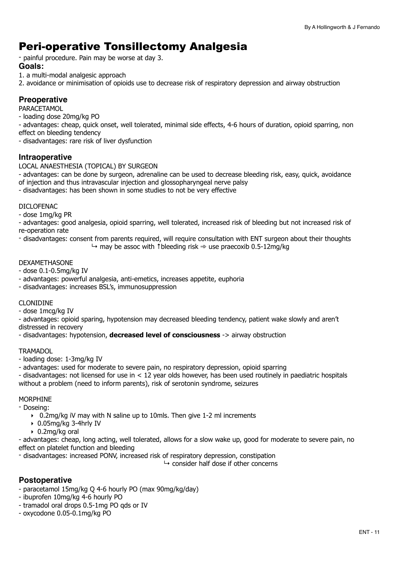### Peri-operative Tonsillectomy Analgesia

- painful procedure. Pain may be worse at day 3.

#### **Goals:**

1. a multi-modal analgesic approach

2. avoidance or minimisation of opioids use to decrease risk of respiratory depression and airway obstruction

#### **Preoperative**

PARACETAMOL

- loading dose 20mg/kg PO

- advantages: cheap, quick onset, well tolerated, minimal side effects, 4-6 hours of duration, opioid sparring, non effect on bleeding tendency

- disadvantages: rare risk of liver dysfunction

#### **Intraoperative**

LOCAL ANAESTHESIA (TOPICAL) BY SURGEON

- advantages: can be done by surgeon, adrenaline can be used to decrease bleeding risk, easy, quick, avoidance of injection and thus intravascular injection and glossopharyngeal nerve palsy

- disadvantages: has been shown in some studies to not be very effective

#### DICLOFENAC

- dose 1mg/kg PR

- advantages: good analgesia, opioid sparring, well tolerated, increased risk of bleeding but not increased risk of re-operation rate

- disadvantages: consent from parents required, will require consultation with ENT surgeon about their thoughts  $\rightarrow$  may be assoc with †bleeding risk  $\Rightarrow$  use praecoxib 0.5-12mg/kg

#### DEXAMETHASONE

- dose 0.1-0.5mg/kg IV

- advantages: powerful analgesia, anti-emetics, increases appetite, euphoria
- disadvantages: increases BSL's, immunosuppression

#### CLONIDINE

- dose 1mcg/kg IV

- advantages: opioid sparing, hypotension may decreased bleeding tendency, patient wake slowly and aren't distressed in recovery

- disadvantages: hypotension, **decreased level of consciousness** -> airway obstruction

#### **TRAMADOL**

- loading dose: 1-3mg/kg IV

- advantages: used for moderate to severe pain, no respiratory depression, opioid sparring

- disadvantages: not licensed for use in < 12 year olds however, has been used routinely in paediatric hospitals without a problem (need to inform parents), risk of serotonin syndrome, seizures

#### MORPHINE

- Doseing:

- ‣ 0.2mg/kg iV may with N saline up to 10mls. Then give 1-2 ml increments
- ‣ 0.05mg/kg 3-4hrly IV
- ‣ 0.2mg/kg oral

- advantages: cheap, long acting, well tolerated, allows for a slow wake up, good for moderate to severe pain, no effect on platelet function and bleeding

- disadvantages: increased PONV, increased risk of respiratory depression, constipation

 $\mapsto$  consider half dose if other concerns

#### **Postoperative**

- paracetamol 15mg/kg Q 4-6 hourly PO (max 90mg/kg/day)
- ibuprofen 10mg/kg 4-6 hourly PO
- tramadol oral drops 0.5-1mg PO qds or IV
- oxycodone 0.05-0.1mg/kg PO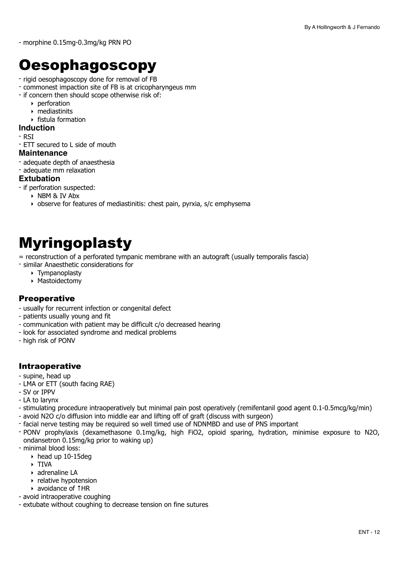- morphine 0.15mg-0.3mg/kg PRN PO

## <span id="page-11-0"></span>**Oesophagoscopy**

- rigid oesophagoscopy done for removal of FB
- commonest impaction site of FB is at cricopharyngeus mm
- if concern then should scope otherwise risk of:
	- ‣ perforation
	- ‣ mediastinits
	- ‣ fistula formation

#### **Induction**

- RSI
- ETT secured to L side of mouth

#### **Maintenance**

- adequate depth of anaesthesia
- adequate mm relaxation

#### **Extubation**

- if perforation suspected:
	- ‣ NBM & IV Abx
	- ‣ observe for features of mediastinitis: chest pain, pyrxia, s/c emphysema

# <span id="page-11-1"></span>Myringoplasty

= reconstruction of a perforated tympanic membrane with an autograft (usually temporalis fascia)

- similar Anaesthetic considerations for
	- ‣ Tympanoplasty
	- ‣ Mastoidectomy

#### **Preoperative**

- usually for recurrent infection or congenital defect
- patients usually young and fit
- communication with patient may be difficult c/o decreased hearing
- look for associated syndrome and medical problems
- high risk of PONV

#### Intraoperative

- supine, head up
- LMA or ETT (south facing RAE)
- SV or IPPV
- LA to larynx
- stimulating procedure intraoperatively but minimal pain post operatively (remifentanil good agent 0.1-0.5mcg/kg/min)
- avoid N2O c/o diffusion into middle ear and lifting off of graft (discuss with surgeon)
- facial nerve testing may be required so well timed use of NDNMBD and use of PNS important
- PONV prophylaxis (dexamethasone 0.1mg/kg, high FiO2, opioid sparing, hydration, minimise exposure to N2O, ondansetron 0.15mg/kg prior to waking up)
- minimal blood loss:
	- $\rightarrow$  head up 10-15deg
	- ‣ TIVA
	- ‣ adrenaline LA
	- ‣ relative hypotension
	- ‣ avoidance of ↑HR
- avoid intraoperative coughing
- extubate without coughing to decrease tension on fine sutures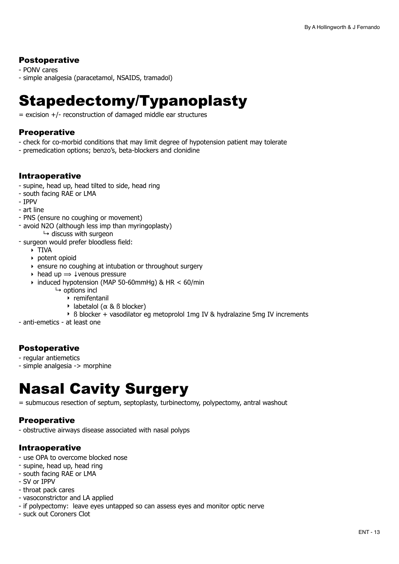#### Postoperative

- PONV cares

- simple analgesia (paracetamol, NSAIDS, tramadol)

# <span id="page-12-0"></span>Stapedectomy/Typanoplasty

 $=$  excision  $+/-$  reconstruction of damaged middle ear structures

#### **Preoperative**

- check for co-morbid conditions that may limit degree of hypotension patient may tolerate
- premedication options; benzo's, beta-blockers and clonidine

#### Intraoperative

- supine, head up, head tilted to side, head ring
- south facing RAE or LMA
- IPPV
- art line
- PNS (ensure no coughing or movement)
- avoid N2O (although less imp than myringoplasty)  $\mapsto$  discuss with surgeon
- surgeon would prefer bloodless field:
	- ‣ TIVA
	- ‣ potent opioid
	- ‣ ensure no coughing at intubation or throughout surgery
	- $\rightarrow$  head up  $\rightarrow \downarrow$  venous pressure
	- ‣ induced hypotension (MAP 50-60mmHg) & HR < 60/min
		- $ightharpoonup$  options incl
			- $\rightarrow$  remifentanil
			- ‣ labetalol (α & ß blocker)
			- ‣ ß blocker + vasodilator eg metoprolol 1mg IV & hydralazine 5mg IV increments
- anti-emetics at least one

#### Postoperative

- regular antiemetics
- simple analgesia -> morphine

# <span id="page-12-1"></span>Nasal Cavity Surgery

= submucous resection of septum, septoplasty, turbinectomy, polypectomy, antral washout

#### **Preoperative**

- obstructive airways disease associated with nasal polyps

#### Intraoperative

- use OPA to overcome blocked nose
- supine, head up, head ring
- south facing RAE or LMA
- SV or IPPV
- throat pack cares
- vasoconstrictor and LA applied
- if polypectomy: leave eyes untapped so can assess eyes and monitor optic nerve
- suck out Coroners Clot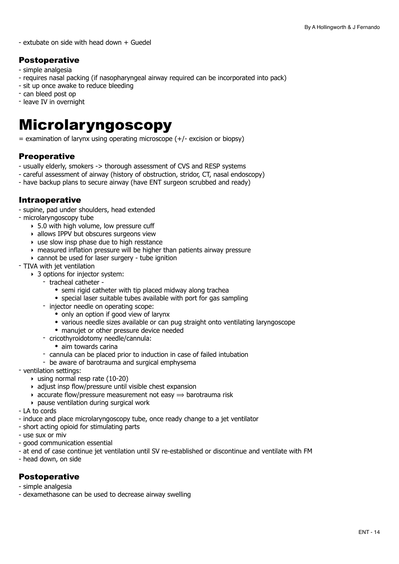$-$  extubate on side with head down  $+$  Guedel

#### Postoperative

- simple analgesia
- requires nasal packing (if nasopharyngeal airway required can be incorporated into pack)
- sit up once awake to reduce bleeding
- can bleed post op
- leave IV in overnight

## <span id="page-13-0"></span>Microlaryngoscopy

 $=$  examination of larynx using operating microscope  $(+/-$  excision or biopsy)

#### **Preoperative**

- usually elderly, smokers -> thorough assessment of CVS and RESP systems
- careful assessment of airway (history of obstruction, stridor, CT, nasal endoscopy)
- have backup plans to secure airway (have ENT surgeon scrubbed and ready)

#### Intraoperative

- supine, pad under shoulders, head extended
- microlaryngoscopy tube
	- $\rightarrow$  5.0 with high volume, low pressure cuff
	- ‣ allows IPPV but obscures surgeons view
	- $\rightarrow$  use slow insp phase due to high resstance
	- ‣ measured inflation pressure will be higher than patients airway pressure
	- ‣ cannot be used for laser surgery tube ignition
- TIVA with jet ventilation
	- ▶ 3 options for injector system:
		- tracheal catheter
			- semi rigid catheter with tip placed midway along trachea
			- special laser suitable tubes available with port for gas sampling
		- injector needle on operating scope:
			- only an option if good view of larynx
			- various needle sizes available or can pug straight onto ventilating laryngoscope
			- manujet or other pressure device needed
		- cricothyroidotomy needle/cannula:
			- aim towards carina
		- cannula can be placed prior to induction in case of failed intubation
	- be aware of barotrauma and surgical emphysema
- ventilation settings:
	- $\rightarrow$  using normal resp rate (10-20)
	- ‣ adjust insp flow/pressure until visible chest expansion
	- $\rightarrow$  accurate flow/pressure measurement not easy  $\Rightarrow$  barotrauma risk
	- ‣ pause ventilation during surgical work
- LA to cords
- induce and place microlaryngoscopy tube, once ready change to a jet ventilator
- short acting opioid for stimulating parts
- use sux or miv
- good communication essential
- at end of case continue jet ventilation until SV re-established or discontinue and ventilate with FM
- head down, on side

#### **Postoperative**

- simple analgesia
- dexamethasone can be used to decrease airway swelling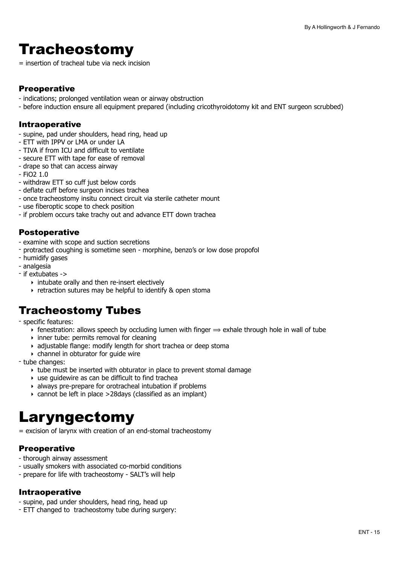# <span id="page-14-0"></span>**Tracheostomy**

= insertion of tracheal tube via neck incision

#### **Preoperative**

- indications; prolonged ventilation wean or airway obstruction
- before induction ensure all equipment prepared (including cricothyroidotomy kit and ENT surgeon scrubbed)

#### Intraoperative

- supine, pad under shoulders, head ring, head up
- ETT with IPPV or LMA or under LA
- TIVA if from ICU and difficult to ventilate
- secure ETT with tape for ease of removal
- drape so that can access airway
- $-$  FiO2 1.0
- withdraw ETT so cuff just below cords
- deflate cuff before surgeon incises trachea
- once tracheostomy insitu connect circuit via sterile catheter mount
- use fiberoptic scope to check position
- if problem occurs take trachy out and advance ETT down trachea

#### Postoperative

- examine with scope and suction secretions
- protracted coughing is sometime seen morphine, benzo's or low dose propofol
- humidify gases
- analgesia
- if extubates ->
	- ‣ intubate orally and then re-insert electively
	- ‣ retraction sutures may be helpful to identify & open stoma

### Tracheostomy Tubes

- specific features:

- $\rightarrow$  fenestration: allows speech by occluding lumen with finger  $\Rightarrow$  exhale through hole in wall of tube
- $\rightarrow$  inner tube: permits removal for cleaning
- ‣ adjustable flange: modify length for short trachea or deep stoma
- $\rightarrow$  channel in obturator for quide wire

- tube changes:

- ‣ tube must be inserted with obturator in place to prevent stomal damage
- ‣ use guidewire as can be difficult to find trachea
- ‣ always pre-prepare for orotracheal intubation if problems
- ‣ cannot be left in place >28days (classified as an implant)

## <span id="page-14-1"></span>Laryngectomy

= excision of larynx with creation of an end-stomal tracheostomy

#### **Preoperative**

- thorough airway assessment
- usually smokers with associated co-morbid conditions
- prepare for life with tracheostomy SALT's will help

#### Intraoperative

- supine, pad under shoulders, head ring, head up
- ETT changed to tracheostomy tube during surgery: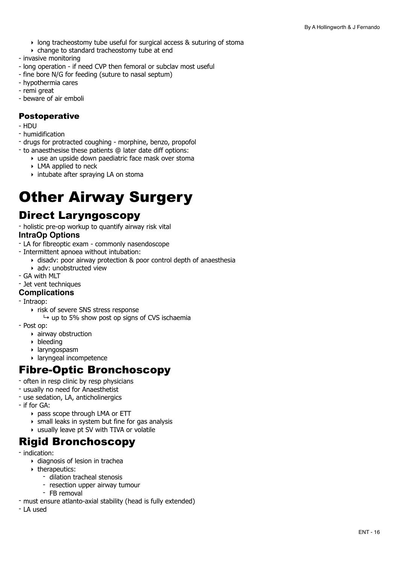- ‣ long tracheostomy tube useful for surgical access & suturing of stoma
- ‣ change to standard tracheostomy tube at end
- invasive monitoring
- long operation if need CVP then femoral or subclav most useful
- fine bore N/G for feeding (suture to nasal septum)
- hypothermia cares
- remi great
- beware of air emboli

#### **Postoperative**

- HDU
- humidification
- drugs for protracted coughing morphine, benzo, propofol
- to anaesthesise these patients @ later date diff options:
	- ‣ use an upside down paediatric face mask over stoma
	- ‣ LMA applied to neck
	- ‣ intubate after spraying LA on stoma

# <span id="page-15-0"></span>Other Airway Surgery

### Direct Laryngoscopy

- holistic pre-op workup to quantify airway risk vital **IntraOp Options**

- LA for fibreoptic exam commonly nasendoscope
- Intermittent apnoea without intubation:
	- ‣ disadv: poor airway protection & poor control depth of anaesthesia
	- ‣ adv: unobstructed view
- GA with MLT
- Jet vent techniques

#### **Complications**

- Intraop:
	- ‣ risk of severe SNS stress response
		- $\rightarrow$  up to 5% show post op signs of CVS ischaemia
- Post op:
	- $\rightarrow$  airway obstruction
	- ‣ bleeding
	- ‣ laryngospasm
	- ‣ laryngeal incompetence

### Fibre-Optic Bronchoscopy

- often in resp clinic by resp physicians
- usually no need for Anaesthetist
- use sedation, LA, anticholinergics
- if for GA:
	- ‣ pass scope through LMA or ETT
	- $\rightarrow$  small leaks in system but fine for gas analysis
	- ‣ usually leave pt SV with TIVA or volatile

### Rigid Bronchoscopy

- indication:
	- ‣ diagnosis of lesion in trachea
	- ‣ therapeutics:
		- dilation tracheal stenosis
		- resection upper airway tumour
		- FB removal
- must ensure atlanto-axial stability (head is fully extended)
- LA used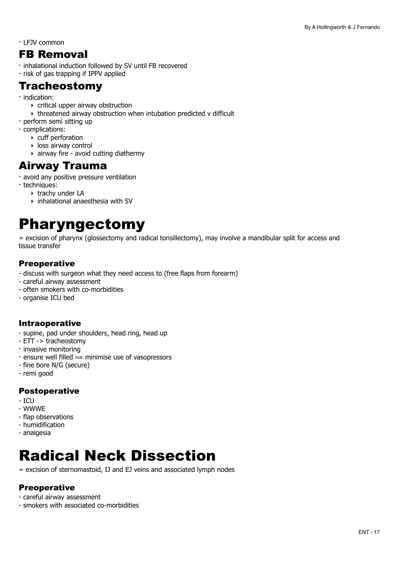- LFJV common

### FB Removal

- inhalational induction followed by SV until FB recovered
- risk of gas trapping if IPPV applied

### **Tracheostomy**

- indication:
	- $\rightarrow$  critical upper airway obstruction
	- ‣ threatened airway obstruction when intubation predicted v difficult
- perform semi sitting up
- complications:
	- ‣ cuff perforation
	- ‣ loss airway control
	- $\rightarrow$  airway fire avoid cutting diathermy

### Airway Trauma

- avoid any positive pressure ventilation
- techniques:
	- ‣ trachy under LA
	- ‣ inhalational anaesthesia with SV

# <span id="page-16-0"></span>Pharyngectomy

= excision of pharynx (glossectomy and radical tonsillectomy), may involve a mandibular split for access and tissue transfer

#### **Preoperative**

- discuss with surgeon what they need access to (free flaps from forearm)
- careful airway assessment
- often smokers with co-morbidities
- organise ICU bed

#### Intraoperative

- supine, pad under shoulders, head ring, head up
- ETT -> tracheostomy
- invasive monitoring
- ensure well filled  $\Rightarrow$  minimise use of vasopressors
- fine bore N/G (secure)
- remi good

#### Postoperative

- $-$  ICU
- WWWE
- flap observations
- humidification
- analgesia

# <span id="page-16-1"></span>Radical Neck Dissection

= excision of sternomastoid, IJ and EJ veins and associated lymph nodes

#### **Preoperative**

- careful airway assessment
- smokers with associated co-morbidities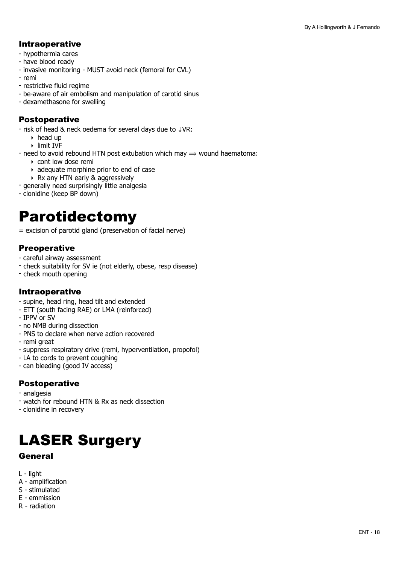#### Intraoperative

- hypothermia cares
- have blood ready
- invasive monitoring MUST avoid neck (femoral for CVL)
- remi
- restrictive fluid regime
- be-aware of air embolism and manipulation of carotid sinus
- dexamethasone for swelling

#### Postoperative

- risk of head & neck oedema for several days due to ↓VR:

- $\triangleright$  head up
- ‣ limit IVF

- need to avoid rebound HTN post extubation which may  $\Rightarrow$  wound haematoma:

- ‣ cont low dose remi
- ‣ adequate morphine prior to end of case
- ‣ Rx any HTN early & aggressively
- generally need surprisingly little analgesia
- clonidine (keep BP down)

### <span id="page-17-0"></span>Parotidectomy

= excision of parotid gland (preservation of facial nerve)

#### **Preoperative**

- careful airway assessment
- check suitability for SV ie (not elderly, obese, resp disease)
- check mouth opening

#### Intraoperative

- supine, head ring, head tilt and extended
- ETT (south facing RAE) or LMA (reinforced)
- IPPV or SV
- no NMB during dissection
- PNS to declare when nerve action recovered
- remi great
- suppress respiratory drive (remi, hyperventilation, propofol)
- LA to cords to prevent coughing
- can bleeding (good IV access)

#### Postoperative

- analgesia
- watch for rebound HTN & Rx as neck dissection
- clonidine in recovery

# <span id="page-17-1"></span>LASER Surgery

#### General

- L light
- A amplification
- S stimulated
- E emmission
- R radiation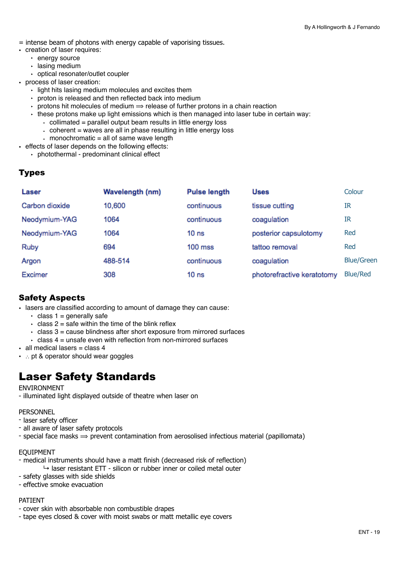- = intense beam of photons with energy capable of vaporising tissues.
- creation of laser requires:
	- ‣ energy source
	- ‣ lasing medium
	- ‣ optical resonater/outlet coupler
- process of laser creation:
	- ‣ light hits lasing medium molecules and excites them
	- ‣ proton is released and then reflected back into medium
	- $\cdot$  protons hit molecules of medium  $\Rightarrow$  release of further protons in a chain reaction
	- $\cdot$  these protons make up light emissions which is then managed into laser tube in certain way:
		- collimated = parallel output beam results in little energy loss
		- coherent = waves are all in phase resulting in little energy loss
		- monochromatic  $=$  all of same wave length
- effects of laser depends on the following effects:
	- ‣ photothermal predominant clinical effect

#### Types

| Laser          | Wavelength (nm) | <b>Pulse length</b> | <b>Uses</b>                | Colour            |
|----------------|-----------------|---------------------|----------------------------|-------------------|
| Carbon dioxide | 10,600          | continuous          | tissue cutting             | IR                |
| Neodymium-YAG  | 1064            | continuous          | coagulation                | IR                |
| Neodymium-YAG  | 1064            | 10 <sub>ns</sub>    | posterior capsulotomy      | Red               |
| Ruby           | 694             | $100$ mss           | tattoo removal             | Red               |
| Argon          | 488-514         | continuous          | coagulation                | <b>Blue/Green</b> |
| Excimer        | 308             | 10 <sub>ns</sub>    | photorefractive keratotomy | <b>Blue/Red</b>   |

#### Safety Aspects

• lasers are classified according to amount of damage they can cause:

- $\cdot$  class 1 = generally safe
- $\cdot$  class 2 = safe within the time of the blink reflex
- $\cdot$  class 3 = cause blindness after short exposure from mirrored surfaces
- $\cdot$  class 4 = unsafe even with reflection from non-mirrored surfaces
- $\cdot$  all medical lasers = class 4
- ∴ pt & operator should wear goggles

### Laser Safety Standards

#### ENVIRONMENT

- illuminated light displayed outside of theatre when laser on

PERSONNEL

- laser safety officer
- all aware of laser safety protocols
- special face masks  $\Rightarrow$  prevent contamination from aerosolised infectious material (papillomata)

#### EQUIPMENT

- medical instruments should have a matt finish (decreased risk of reflection)  $\rightarrow$  laser resistant ETT - silicon or rubber inner or coiled metal outer
- safety glasses with side shields
- effective smoke evacuation

#### PATIENT

- cover skin with absorbable non combustible drapes
- tape eyes closed & cover with moist swabs or matt metallic eye covers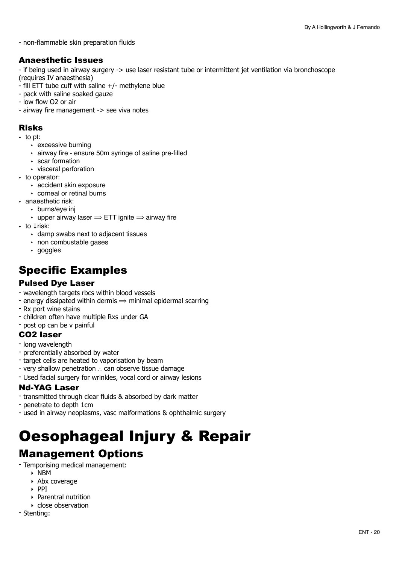- non-flammable skin preparation fluids

#### Anaesthetic Issues

- if being used in airway surgery -> use laser resistant tube or intermittent jet ventilation via bronchoscope (requires IV anaesthesia)

- 
- fill ETT tube cuff with saline +/- methylene blue - pack with saline soaked gauze
- low flow O2 or air
- airway fire management -> see viva notes

#### Risks

- to pt:
	- ‣ excessive burning
	- ‣ airway fire ensure 50m syringe of saline pre-filled
	- ‣ scar formation
	- ‣ visceral perforation
- to operator:
	- ‣ accident skin exposure
	- ‣ corneal or retinal burns
- anaesthetic risk:
	- ‣ burns/eye inj
		- $\cdot$  upper airway laser  $\Rightarrow$  ETT ignite  $\Rightarrow$  airway fire
- to **Lrisk:** 
	- ‣ damp swabs next to adjacent tissues
	- ‣ non combustable gases
	- ‣ goggles

### Specific Examples

#### Pulsed Dye Laser

- wavelength targets rbcs within blood vessels
- energy dissipated within dermis  $\Rightarrow$  minimal epidermal scarring
- Rx port wine stains
- children often have multiple Rxs under GA
- post op can be v painful

#### CO2 laser

- long wavelength
- preferentially absorbed by water
- target cells are heated to vaporisation by beam
- very shallow penetration ∴ can observe tissue damage
- Used facial surgery for wrinkles, vocal cord or airway lesions

#### Nd-YAG Laser

- transmitted through clear fluids & absorbed by dark matter
- penetrate to depth 1cm
- used in airway neoplasms, vasc malformations & ophthalmic surgery

# <span id="page-19-0"></span>Oesophageal Injury & Repair

### Management Options

- Temporising medical management:
	- ‣ NBM
	- ‣ Abx coverage
	- ‣ PPI
	- ‣ Parentral nutrition
	- ‣ close observation
- Stenting: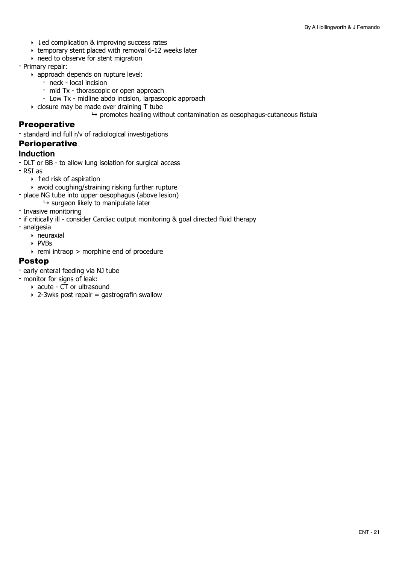- ‣ ↓ed complication & improving success rates
- ‣ temporary stent placed with removal 6-12 weeks later
- ‣ need to observe for stent migration
- Primary repair:
	- ‣ approach depends on rupture level:
		- neck local incision
		- mid Tx thorascopic or open approach
		- Low Tx midline abdo incision, larpascopic approach
	- ‣ closure may be made over draining T tube
		- $\rightarrow$  promotes healing without contamination as oesophagus-cutaneous fistula

#### **Preoperative**

- standard incl full r/v of radiological investigations

#### **Perioperative**

#### **Induction**

- DLT or BB to allow lung isolation for surgical access
- RSI as
	- ‣ ↑ed risk of aspiration
	- ‣ avoid coughing/straining risking further rupture
- place NG tube into upper oesophagus (above lesion)
	- $\rightarrow$  surgeon likely to manipulate later
- Invasive monitoring
- if critically ill consider Cardiac output monitoring & goal directed fluid therapy
- analgesia
	- ‣ neuraxial
	- ‣ PVBs
	- $\rightarrow$  remi intraop > morphine end of procedure

#### Postop

- early enteral feeding via NJ tube
- monitor for signs of leak:
	- ‣ acute CT or ultrasound
	- $\rightarrow$  2-3wks post repair = gastrografin swallow